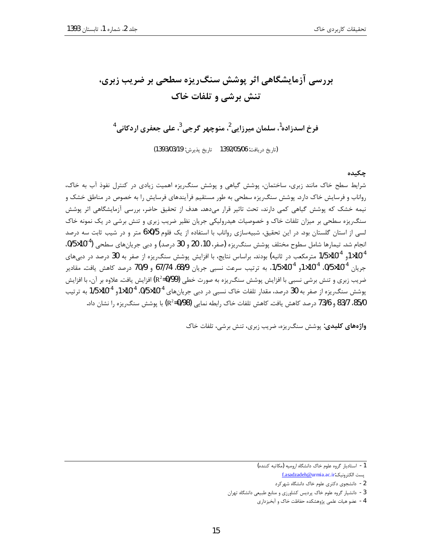# بررسی آزمایشگاهی اثر پوشش سنگ ریزه سطحی بر ضریب زبری، تنش برشي و تلفات خاک

فرخ اسدزاده<sup>1</sup>، سلمان میرزایی<sup>2</sup>، منوچھر گرجی<sup>3</sup>، علی جعفری اردکانی<sup>4</sup>

(تاريخ دريافت: 06/05/05 139 تاريخ پذيرش: 1393/03/19)

## چکىدە

شرایط سطح خاک مانند زبری، ساختمان، پوشش گیاهی و پوشش سنگ ریزه اهمیت زیادی در کنترل نفوذ آب به خاک، رواناب و فرسایش خاک دارد. پوشش سنگریزه سطحی به طور مستقیم فرآیندهای فرسایش را به خصوص در مناطق خشک و نیمه خشک که پوشش گیاهی کمی دارند، تحت تاثیر قرار میدهد. هدف از تحقیق حاضر، بررسی آزمایشگاهی اثر پوشش سنگ ریزه سطحی بر میزان تلفات خاک و خصوصیات هیدرولیکی جریان نظیر ضریب زبری و تنش برشی در یک نمونه خاک لسی از استان گلستان بود. در این تحقیق، شبیهسازی رواناب با استفاده از یک فلوم 5/0×6 متر و در شیب ثابت سه درصد انجام شد. تیمارها شامل سطوح مختلف پوشش سنگ٫یزه (صفر، 10، 20 و 30 درصد) و دبی جریانهای سطحی (3×10×9/5. 1/5×10 و 1/5×10<sup>5</sup> مترمکعب در ثانیه) بودند. براساس نتایج، با افزایش پوشش سنگ,ریزه از صفر به 30 درصد در دبیهای جريان 10<sup>-4</sup>0/5×0/5. 10<sup>-4</sup>10 10×10<sup>-4</sup> به ترتيب سرعت نسبي جريان 68/9، 67/74 و 70/9 درصد كاهش يافت. مقادير ضریب زبری و تنش برشی نسبی با افزایش پوشش سنگ ریزه به صورت خطی (R<sup>2</sup>=0/99) افزایش یافت. علاوه بر آن، با افزایش یوشش سنگ,ریزه از صفر به 30 درصد، مقدار تلفات خاک نسبی در دبی جریانهای 10<sup>-1</sup>0%، 10×1,1<sup>04</sup>و 10×15/5 به ترتیب 85/0، 83/7 و 73/6 درصد کاهش یافت. کاهش تلفات خاک رابطه نمایی (R<sup>2</sup>=0/98) با یوشش سنگ, یزه ,ا نشان داد.

واژههای کلیدی: پوشش سنگ ریزه، ضریب زبری، تنش برشی، تلفات خاک

<sup>1 -</sup> استاديار گروه علوم خاك دانشگاه اروميه (مكاتبه كننده)

يست الكترونيك.f.asadzadeh@urmia.ac.ir

<sup>2 -</sup> دانشجوی دکتری علوم خاک دانشگاه شهرکرد

<sup>3 -</sup> دانشیار گروه علوم خاک پردیس کشاورزی و منابع طبیعی دانشگاه تهران

<sup>4 -</sup> عضو هيات علمي پژوهشكده حفاظت خاک و آبخيزداري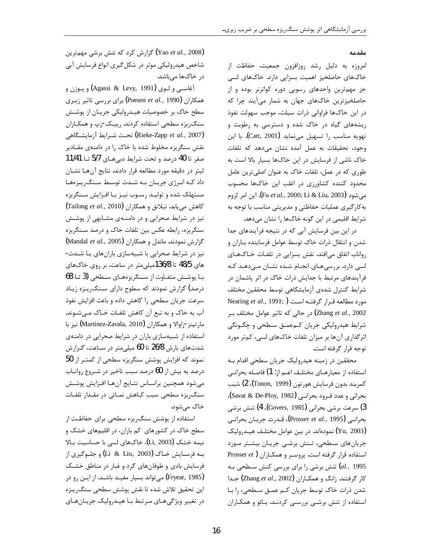### مقدمه

امروزه به دلیل رشد روزافزون جمعیت، حفاظت از خاکهای حاصلخیز اهمیت بسزایی دارد. خاکهای لسی جز مهم ترین واحدهای رسوبی دوره کواترنر بوده و از حاصلخیزترین خاکهای جهان به شمار می آیند چرا که در این خاکها فراوانی ذرات سیلت، موجب سهولت نفوذ ریشههای گیاه در خاک شده و دسترسی به رطوبت و تهويه مناسب را تسهيل مي نمايد (Catt, 2001). با اين وجود، تحقیقات به عمل آمده نشان میدهد که تلفات خاک ناشی از فرسایش در این خاکها بسیار بالا است به طوری که در عمل، تلفات خاک به عنوان اصلی ترین عامل محدود کننده کشاورزی در اغلب این خاکها محسوب مي شود (Fu *et al., 2*000; Li & Liu, 2003). اين امر لزوم به کارگیری عملیات حفاظتی و مدیریتی مناسب با توجه به شرایط اقلیمی در این گونه خاکها را نشان میدهد.

در این بین فرسایش آبی که در نتیجه فرآیندهای جدا شدن و انتقال ذرات خاک توسط عوامل فرساینده بـاران و رواناب اتفاق می افتد، نقش بسزایی در تلفـات خـاکـهـای لسی دارد. بررسیهای انجام شده نشان مے،دهد که فرآیندهای مرتبط با جدایش ذرات خاک در اثر پاشمان در شرايط كنترل شدهى آزمايشگاهى توسط محققين مختلف مورد مطالعه قرار گرفتـه است ( Nearing et al., 1991; Zhang et al., 2002) در حالی که تاثیر عوامل مختلف بر شرایط هیدرولیکی جریان کـمعمـق سـطحی و چگـونگی اثرگذاری آنها بر میزان تلفات خاکهای لسی، کمتر مورد توجه قرار گرفته است.

محققین در زمینه هیدرولیک جریان سطحی اقدام بـه استفاده از معیارهـای مختلـف اعـم از: 1) فاصـله بحرانـی كمربند بدون فرسايش هورتون (Tonon, 1999)، 2) شيب بحراني و عدد فـرود بحرانـي (Savat & De-Ploy, 1982)، 3) سرعت برشي بحراني (Govers, 1985)، 4) تنش برشي بحرانـي (Prosser *et al.*, 1995**)**، قـدرت جريـان بحرانـي (Yu, 2003) نمودهاند. در بین عوامل مختلـف هیـدرولیک جریانهای سطحی، تـنش برشـی جریـان بیشـتر مـورد استفاده قرار گرفته است. پروسر و همکاران ( Prosser et *al.*, 1995) تنش برشی را برای بررسی کنش سـطحی بـه كار گرفتند. زانگ و همكـاران (Zhang et al., 2002) جـدا شدن ذرات خاک توسط جریان کـم عمـق سـطحی، را بـا استفاده از تنش برشبی بررسبی کردنـد. یـائو و همکـاران

(Yao et al., 2008) گزارش کرد که تنش برشی مهمترین شاخص هیدرولیکی موثر در شکل گیری انواع فرسایش آبی د<sub>ر</sub> خاکها م<sub>ی ب</sub>اشد.

آغاسی و لـوی (Agassi & Levy, 1991) و پوزن و همکاران (Poesen et al., 1990) برای بررسی تاثیر زبری سطح خاک بر خصوصیات هیـدرولیکی جریـان از پوشـش سنگ ریزه سطحی استفاده کردند. رییک-زپ و همکاران (Rieke-Zapp et al., 2007) تحت شرايط آزمايشگاهي نقش سنگریزه مخلوط شده با خاک را در دامنهی مقـادیر صفر تا 40 درصد و تحت شرایط دبیهای 5/7 تــا 11/41 ليتر در دقيقه مورد مطالعه قرار دادند. نتايج آنها نشان داد که انرژی جریان به شدت توسط سنگ ریزهها مستهلک شده و تولیـد رسـوب نیـز بـا افـزایش سـنگریزه  $\left(\text{Tailong } et~al.,~2010\right)$  كاهش مى يابد. تيلانق و همكاران نیز در شرایط صحرایی و در دامنهی مشابهی از پوشش سنگریزه، رابطه عکس بین تلفات خاک و درصد سـنگریزه گزارش نمودند. ماندل و همکاران (Mandal et al., 2005) نیز در شرایط صحرایی با شبیهسازی بارانهای با شدت-های 48/5 تا 136/8میلی متر در ساعت، بر روی خاکهای بـا پوشــش متفــاوت از ســنگریزههــای ســطحی (3 تــا 68 درصد) گزارش نمودند که سطوح دارای سـنگ(یـزه زیـاد سرعت جریان سطحی را کاهش داده و باعث افزایش نفوذ آب به خاک و به تبع آن کاهش تلفـات خـاک مـیشـوند. مارتينز-زاوالا و همكاران (Martinez-Zavala, 2010) نيز با استفاده از شبیهسازی باران در شرایط صحرایی در دامنهی شدتهای بارش 26/8 تا 60 میلی متر در سـاعت، گـزارش نموند که افزایش پوشش سنگریزه سطحی از کمتـر از 50 درصد به بیش از 60 درصد سبب تاخیر در شـروع روانـاب میشود همچنین براساس نتایج آنها افـزایش پوشـش سنگ ریزه سطحی سبب کـاهش نمـائی در مقـدار تلفـات خاک می شود.

استفاده از پوشش سنگ ریزه سطحی برای حفاظت از سطح خاک در کشورهای کم باران، در اقلیمهای خشک و نیمه خشک (Li, 2003)، خاکهای لسی با حساسیت بالا بـه فرسـايش خـاک (Li & Liu, 2003) و جلـوگيري از فرسایش بادی و طوفانهای گرد و غبار در مناطق خشـک (Fryear, 1985) می تواند بسیار مفیـد باشـد. از ایـن رو در این تحقیق تلاش شده تا نقش پوشش سطحی سنگ٫یـزه در تغییر ویژگی هـای مـرتبط بـا هیـدرولیک جریـان هـای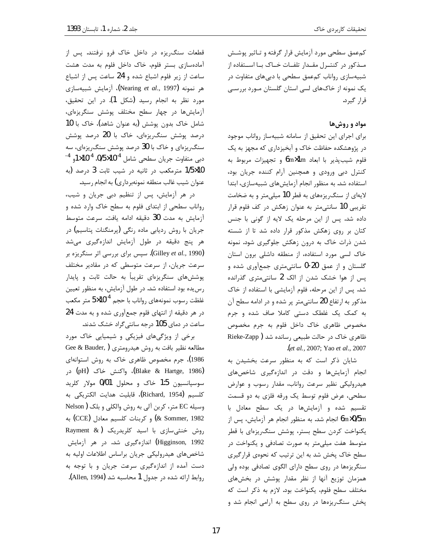کمءمق سطحی مورد آزمایش قرار گرفته و تـاثیر پوشـش مـذکور در کنتـرل مقـدار تلفـات خـاک بـا اسـتفاده از شبیهسازی رواناب کمعمق سطحی با دبیهای متفاوت در یک نمونه از خاکهای لسی استان گلستان مـورد بررسـی قرار گیرد.

## مواد و روشها

برای اجرای این تحقیق از سامانه شبیهساز رواناب موجود در پژوهشکده حفاظت خاک و آبخیزداری که مجهز به یک فلوم شيبپذير با ابعاد 1m×1m و تجهيزات مربوط به کنترل دبی ورودی و همچنین آرام کننده جریان بود، استفاده شد. به منظور انجام آزمایش های شبیهسازی، ابتدا لایهای از سنگ ریزههای به قطر 10 میلی متر و به ضخامت تقریبی 10 سانتی متر به عنوان زهکش در کف فلوم قرار داده شد. پس از این مرحله یک لایه از گونی با جنس کتان بر روی زهکش مذکور قرار داده شد تا از شسته شدن ذرات خاک به درون زهکش جلوگیری شود. نمونه خاک لسی مورد استفاده، از منطقه داشلی برون استان گلستان و از عمق 20-0 سانتی متری جمعآوری شده و پس از هوا خشک شدن از الک 2 سانتی متری گذرانده شد. پس از این مرحله، فلوم آزمایشی با استفاده از خاک مذکور به ارتفاع 20 سانتی متر پر شده و در ادامه سطح آن به کمک یک غلطک دستی کاملا صاف شده و جرم مخصوص ظاهری خاک داخل فلوم به جرم مخصوص ظاهری خاک در حالت طبیعی رسانده شد (Rieke-Zapp let al., 2007; Yao et al., 2007.

شایان ذکر است که به منظور سرعت بخشیدن به انجام آزمایشها و دقت در اندازهگیری شاخصهای هیدرولیکی نظیر سرعت رواناب، مقدار رسوب و عوارض سطحی، عرض فلوم توسط یک ورقه فلزی به دو قسمت تقسیم شده و آزمایشها در یک سطح معادل با 6m×0/5m انجام شد. به منظور انجام هر آزمايش، پس از یکنواخت کردن سطح بستر، پوشش سنگ ریزهای با قطر متوسط هفت میلی متر به صورت تصادفی و یکنواخت در سطح خاک پخش شد به این ترتیب که نحوهی قرارگیری سنگریزهها در روی سطح دارای الگوی تصادفی بوده ولی همزمان توزیع آنها از نظر مقدار پوشش در بخشهای مختلف سطح فلوم، يكنواخت بود. لازم به ذكر است كه پخش سنگ ریزهها در روی سطح به آرامی انجام شد و

قطعات سنگ ریزه در داخل خاک فرو نرفتند. پس از آمادهسازی بستر فلوم، خاک داخل فلوم به مدت هشت ساعت از زیر فلوم اشباع شده و 24 ساعت پس از اشباع هر نمونه (Nearing *et al.*, 1997)، آزمایش شبیهسازی مورد نظر به انجام رسید (شکل 1). در این تحقیق، آزمایشها در چهار سطح مختلف پوشش سنگریزهای، شامل خاک بدون پوشش (به عنوان شاهد)، خاک با 10 درصد پوشش سنگریزهای، خاک با 20 درصد پوشش سنگ ریزهای و خاک با 30 درصد پوشش سنگ ریزهای، سه دبی متفاوت جریان سطحی شامل 10<sup>-1</sup>0%، 14×15و <sup>4-</sup> 1/5×1/5 مترمكعب در ثانيه در شيب ثابت 3 درصد (به عنوان شيب غالب منطقه نمونهبرداري) به انجام رسيد.

در هر آزمایش، پس از تنظیم دبی جریان و شیب، رواناب سطحی از ابتدای فلوم به سطح خاک وارد شده و آزمایش به مدت 30 دقیقه ادامه یافت. سرعت متوسط جریان با روش ردیابی ماده رنگی (پرمنگنات پتاسیم) در هر پنج دقیقه در طول آزمایش اندازهگیری میشد (Gilley *et al.*, 1990). سپس برای بررسی اثر سنگریزه بر سرعت جریان، از سرعت متوسطی که در مقادیر مختلف پوششهای سنگریزهای تقریباً به حالت ثابت و پایدار رس یده بود استفاده شد. در طول آزمایش، به منظور تعیین غلظت رسوب نمونههای رواناب با حجم  $5\times10^{-4}$  متر مکعب در هر دقیقه از انتهای فلوم جمعآوری شده و به مدت 24 ساعت در دمای 105 درجه سانتی گراد خشک شدند.

برخی از ویژگیهای فیزیکی و شیمیایی خاک مورد مطالعه نظیر بافت به روش هیدرومتری ( Gee & Bauder, 1986)، جرم مخصوص ظاهری خاک به روش استوانهای (Blake & Hartge, 1986)، واكنش خاك (pH) در سوسپانسیون 1:5 خاک و محلول 0/01 مولار کلرید كلسيم (Richard, 1954)، قابليت هدايت الكتريكي به وسیله EC متر، کربن آلی به روش والکلی و بلک (Nelson 80mmer, 1982) و كربنات كلسيم معادل (CCE) به روش خنثی سازی با اسید کلریدریک (& Rayment Higginson, 1992) اندازهگیری شد. در هر آزمایش شاخصهای هیدرولیکی جریان براساس اطلاعات اولیه به دست آمده از اندازهگیری سرعت جریان و با توجه به روابط ارائه شده در جدول 1 محاسبه شد (Allen, 1994).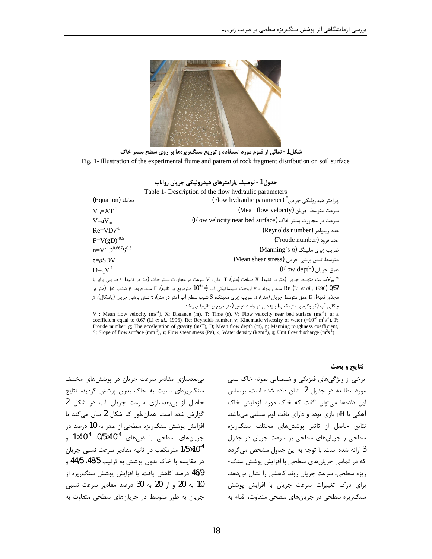

شکل 1- نمائی از فلوم مورد استفاده و توزیع سنگ ریزهها بر روی سطح بستر خاک Fig. 1- Illustration of the experimental flume and pattern of rock fragment distribution on soil surface

|                                                                                                                             | جدول 1- توصيف پارامترهاي هيدروليكي جريان رواناب                                                                               |  |  |  |
|-----------------------------------------------------------------------------------------------------------------------------|-------------------------------------------------------------------------------------------------------------------------------|--|--|--|
|                                                                                                                             | Table 1- Description of the flow hydraulic parameters                                                                         |  |  |  |
| (Equation) معادله                                                                                                           | پارامتر هیدرولیکی جریان " (Flow hydraulic parameter)                                                                          |  |  |  |
| $V_m = XT-1$                                                                                                                | (Mean flow velocity) سرعت متوسط جريان                                                                                         |  |  |  |
| $V=aV_m$                                                                                                                    | سرعت در مجاورت بستر خاک (Flow velocity near bed surface)                                                                      |  |  |  |
| $Re=VDv^{-1}$                                                                                                               | عدد , ينولد; (Reynolds number)                                                                                                |  |  |  |
| $F=V(gD)^{-0.5}$                                                                                                            | عدد فرود (Froude number)                                                                                                      |  |  |  |
| $n = V^{-1}D^{0.667}S^{0.5}$                                                                                                | $(Manning's n)$ ضریب زبری مانینگ                                                                                              |  |  |  |
| $\tau = \rho SDV$                                                                                                           | متوسط تنش برشي جريان (Mean shear stress)                                                                                      |  |  |  |
| $D=qV^{-1}$                                                                                                                 | عمق جريان (Flow depth)                                                                                                        |  |  |  |
| $V_{m}$ سرعت متوسط جریان (متر در ثانیه)، X مسافت (متر)، T زمان ، V سرعت در مجاورت بستر خاک (متر در ثانیه)، a ضریبی برابر با |                                                                                                                               |  |  |  |
|                                                                                                                             | 0/67 (Li et al., 1996 عدد رینولدز، ۷ لزوجت سینماتیکی آب (= 10 <sup>-6</sup> مترمربع بر ثانیه)، F عدد فرود، g شتاب ثقل (متر بر |  |  |  |
|                                                                                                                             | مجذور ثانيه)، D عمق متوسط جريان (متر)، n ضريب زبري مانينگ، S شيب سطح آب (متر در متر)، r تنش برشي جريان (پاسكال)، p            |  |  |  |
|                                                                                                                             | چگالی آب (کیلوگرم بر مترمکعب) و q دبی در واحد عرض (متر مربع بر ثانیه) میباشد.                                                 |  |  |  |

 $V_m$ ; Mean flow velocity (ms<sup>-1</sup>), X; Distance (m), T; Time (s), V; Flow velocity near bed surface (ms<sup>-1</sup>), a; a coefficient equal to 0.67 (Li et al., 1996), Re; Reynolds number, v; Kinematic viscosity of water  $(=10^{-6} \text{ m}^2 \text{s}^{-1})$ , F; Froude number, g; The acceleration of gravity  $(ms<sup>2</sup>)$ , D; Mean flow depth  $(m)$ , n; Manning roughness coefficient, S; Slope of flow surface  $(mm^{-1})$ ,  $\tau$ ; Flow shear stress (Pa),  $\rho$ ; Water density (kgm<sup>3</sup>), q; Unit flow discharge  $(m^{2}s^{-1})$ 

نتایج و بحث

برخی از ویژگیهای فیزیکی و شیمیایی نمونه خاک لسی مورد مطالعه در جدول 2 نشان داده شده است. براساس این دادهها می توان گفت که خاک مورد آزمایش خاک آهکی با pH بازی بوده و دارای بافت لوم سیلتی میباشد. نتایج حاصل از تاثیر پوششهای مختلف سنگ ریزه سطحی و جریانهای سطحی بر سرعت جریان در جدول 3 ارائه شده است. با توجه به این جدول مشخص میگردد که در تمامی جریانهای سطحی با افزایش پوشش سنگ-ریزه سطحی، سرعت جریان روند کاهشی را نشان میدهد. برای درک تغییرات سرعت جریان با افزایش پوشش سنگ٫یزه سطحی در جریانهای سطحی متفاوت، اقدام به

بیبعدسازی مقادیر سرعت جریان در پوششهای مختلف سنگ ریزهای نسبت به خاک بدون پوشش گردید. نتایج حاصل از بیبعدسازی سرعت جریان آب در شکل 2 گزارش شده است. همانطور که شکل 2 بیان میکند با افزایش پوشش سنگریزه سطحی از صفر به 10 درصد در جريان هاى سطحى با دبى هاى 10<sup>-4</sup>0/5×0/5. 10<sup>-4</sup> و 1/5×10<sup>-4</sup> مترمکعب در ثانیه مقادیر سرعت نسبی جریان در مقايسه با خاک بدون پوشش به ترتيب 48/5، 44/5 و 46/9 درصد كاهش يافت. با افزايش پوشش سنگ ريزه از 10 به 20 و از 20 به 30 درصد مقادیر سرعت نسبی جریان به طور متوسط در جریانهای سطحی متفاوت به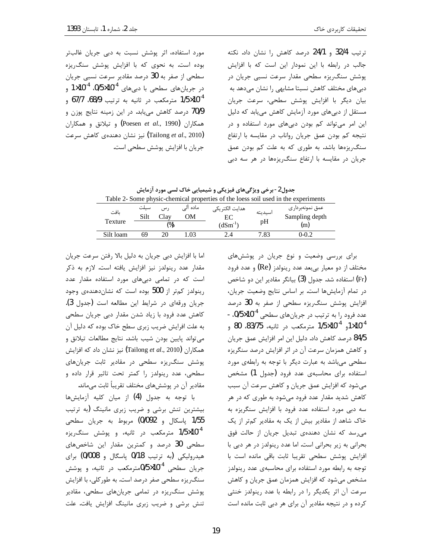ترتیب 32/4 و 24/1 درصد کاهش را نشان داد. نکته جالب در رابطه با این نمودار این است که با افزایش پوشش سنگ ریزه سطحی مقدار سرعت نسبی جریان در دبی های مختلف کاهش نسبتا مشابهی را نشان میدهد به بيان ديگر با افزايش پوشش سطحي، سرعت جريان مستقل از دبیهای مورد آزمایش کاهش مییابد که دلیل این امر میتواند کم بودن دبیهای مورد استفاده و در نتيجه كم بودن عمق جريان رواناب در مقايسه با ارتفاع سنگ ریزهها باشد. به طوری که به علت کم بودن عمق جریان در مقایسه با ارتفاع سنگ ریزهها در هر سه دبی

مورد استفاده، اثر پوشش نسبت به دبی جریان غالبتر بوده است. به نحوی که با افزایش پوشش سنگ ریزه سطحی از صفر به 30 درصد مقادیر سرعت نسبی جریان در جریانهای سطحی با دبیهای 10<sup>-4</sup>×0/5 0<sup>-4</sup> و 1/5×10<sup>-4</sup> مترمكعب در ثانيه به ترتيب 68/9، 67/7 و 70/9 درصد کاهش مییابد. در این زمینه نتایج پوزن و و تيلانق و همكاران (Poesen et al., 1990) (Tailong et al., 2010) نیز نشان دهندهی کاهش سرعت جريان با افزايش پوشش سطحي است.

جدول2- برخی ویژگیهای فیزیکی و شیمیایی خاک لسی مورد آزمایش

| Table 2- Some physic-chemical properties of the loess soil used in the experiments |               |       |          |                 |         |                  |
|------------------------------------------------------------------------------------|---------------|-------|----------|-----------------|---------|------------------|
| ىافت                                                                               | سيلت          | ر س   | مادہ الے | هدایت الکتر یکی | اسيديته | عمق نمونهبردار ی |
|                                                                                    | Silt          | Clav. | ЭM       | EС              |         | Sampling depth   |
| Texture                                                                            | $\frac{1}{2}$ |       |          | $(dSm^{-1})$    | pH      | (m)              |
| Silt loam                                                                          | 69            | 20.   | .03      | 2.4             | 7.83    | $0 - 0.2$        |

برای بررسی وضعیت و نوع جریان در پوششهای مختلف از دو معیار بیبعد عدد رینولدز (Re) و عدد فرود (Fr) استفاده شد. جدول (3) بیانگر مقادیر این دو شاخص در تمام آزمایشها است. بر اساس نتایج وضعیت جریان، افزایش پوشش سنگ ریزه سطحی از صفر به 30 درصد عدد فرود را به ترتیب در جریانهای سطحی 10<sup>-1</sup>0/5x0، -10<sup>-4</sup>, 10<sup>-4</sup>10×10<sup>-5</sup> مترمكعب در ثانيه، 83/75، 80 و 84/5 درصد کاهش داد. دلیل این امر افزایش عمق جریان و کاهش همزمان سرعت آن در اثر افزایش درصد سنگریزه سطحی می باشد به عبارت دیگر با توجه به رابطهی مورد استفاده برای محاسبهی عدد فرود (جدول 1) مشخص می شود که افزایش عمق جریان و کاهش سرعت آن سبب کاهش شدید مقدار عدد فرود میشود به طوری که در هر سه دبی مورد استفاده عدد فرود با افزایش سنگریزه به خاک شاهد از مقادیر بیش از یک به مقادیر کمتر از یک می رسد که نشان دهندهی تبدیل جریان از حالت فوق بحرانی به زیر بحرانی است. اما عدد رینولدز در هر دبی با افزایش پوشش سطحی تقریبا ثابت باقی مانده است با توجه به رابطه مورد استفاده برای محاسبهی عدد رینولدز مشخص میشود که افزایش همزمان عمق جریان و کاهش سرعت آن اثر یکدیگر را در رابطه با عدد رینولدز خنثی کرده و در نتیجه مقادیر آن برای هر دبی ثابت مانده است

اما با افزایش دبی جریان به دلیل بالا رفتن سرعت جریان مقدار عدد رینولدز نیز افزایش یافته است. لازم به ذکر است که در تمامی دبیهای مورد استفاده مقدار عدد رینولدز کمتر از 500 بوده است که نشان دهندهی وجود جريان ورقهاى در شرايط اين مطالعه است (جدول 3). کاهش عدد فرود با زیاد شدن مقدار دبی جریان سطحی به علت افرایش ضریب زبری سطح خاک بوده که دلیل آن می تواند پایین بودن شیب باشد. نتایج مطالعات تیلانق و همكاران (Tailong et al., 2010) نيز نشان داد كه افزايش پوشش سنگ ریزه سطحی در مقادیر ثابت جریانهای سطحی، عدد رینولدز را کمتر تحت تاثیر قرار داده و مقادیر آن در پوششهای مختلف تقریباً ثابت میماند.

با توجه به جدول (4) از ميان كليه آزمايشها بیشترین تنش برشی و ضریب زبری مانینگ (به ترتیب 1/55 پاسكال و 0/092) مربوط به جريان سطحى 1/5×10<sup>-4</sup> مترمکعب در ثانیه، و پوشش سنگ ریزه سطحی 30 درصد و کمترین مقدار این شاخصهای هیدرولیکی (به ترتیب 0/18 پاسگال و 0/008) برای جریان سطحی 10<sup>-1</sup>0×0/5مترمکعب در ثانیه، و پوشش سنگ ریزه سطحی صفر درصد است. به طور کلی، با افزایش پوشش سنگ ریزه در تمامی جریانهای سطحی، مقادیر تنش برشی و ضریب زبری مانینگ افزایش یافت. علت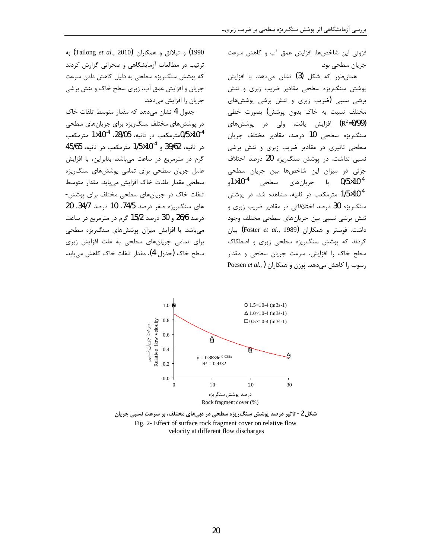فزونی این شاخصها، افزایش عمق آب و کاهش سرعت جريان سطحي بود.

همانطور که شکل (3) نشان میدهد، با افزایش پوشش سنگ ریزه سطحی مقادیر ضریب زبری و تنش برشی نسبی (ضریب زبری و تنش برشی پوششهای مختلف نسبت به خاک بدون پوشش) بصورت خطی (R<sup>2</sup>=0/99) افزایش یافت. ولی در پوششهای سنگ ریزه سطحی 10 درصد، مقادیر مختلف جریان سطحی تاثیری در مقادیر ضریب زبری و تنش برشی نسبی نداشت. در پوشش سنگ(یزه 20 درصد اختلاف جزئی در میزان این شاخصها بین جریان سطحی 0/5×10<sup>-4</sup> با جريانھای سط*حی* 10<sup>-4</sup>1, 1/5×10<sup>-4</sup> مترمکعب در ثانیه، مشاهده شد. در پوشش سنگ٫یزه 30 درصد اختلافاتی در مقادیر ضریب زبری و تنش برشي نسبي بين جريانهاي سطحي مختلف وجود داشت. فوستر و همکاران (Foster *et al*., 1989**)** بیان کردند که پوشش سنگ یزه سطحی زبری و اصطکاک سطح خاک را افزایش، سرعت جریان سطحی و مقدار Poesen et al., رسوب را كاهش مى دهد. يوزن و همكاران

1990) و تيلانق و همكاران (Tailong et al., 2010) به ترتیب در مطالعات آزمایشگاهی و صحرائی گزارش کردند که پوشش سنگ ریزه سطحی به دلیل کاهش دادن سرعت جریان و افزایش عمق آب، زبری سطح خاک و تنش برشی جریان را افزایش میدهد.

جدول 4 نشان میدهد که مقدار متوسط تلفات خاک در پوششهای مختلف سنگ٫یزه برای جریانهای سطحی مترمكعب در ثانيه، 28/05، 1 $\times$ 10×1 مترمكعب $0$ 5×10 در ثانيه، 39/62 و 10<sup>-1</sup>0×10<sup>-5</sup> مترمكعب در ثانيه، 45/65 گرم در مترمربع در ساعت میباشد. بنابراین، با افزایش عامل جریان سطحی برای تمامی یوشش های سنگ یزه سطحي مقدار تلفات خاک افزايش مي يابد. مقدار متوسط تلفات خاک در جریانهای سطحی مختلف برای پوشش-های سنگ ریزه صفر درصد 74/5، 10 درصد 34/7، 20  $\epsilon$ درصد 26/6 و 30 درصد 15/2 گرم در مترمربع در ساعت می باشد. با افزایش میزان پوششهای سنگ ریزه سطحی برای تمامی جریانهای سطحی به علت افزایش زبری سطح خاک (جدول 4)، مقدار تلفات خاک کاهش میبابد.



شکل 2- تاثیر درصد پوشش سنگ٫یزه سطحی در دبیهای مختلف، بر سرعت نسبی جریان Fig. 2- Effect of surface rock fragment cover on relative flow velocity at different flow discharges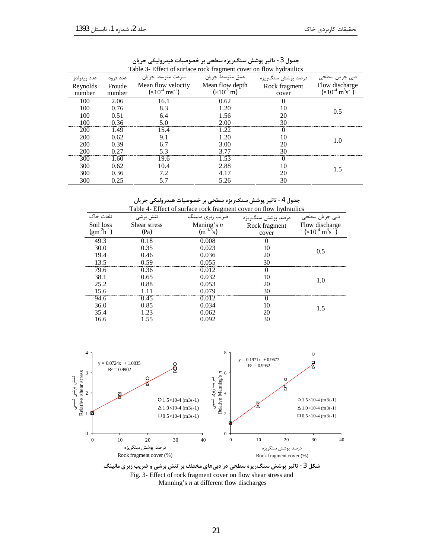| Table 5- Effect of surface fock fragment cover on flow hydraulics |                  |                                                          |                                           |                        |                                                          |  |
|-------------------------------------------------------------------|------------------|----------------------------------------------------------|-------------------------------------------|------------------------|----------------------------------------------------------|--|
| عدد رينولدز                                                       | عدد فرود         | سرعت متوسط جريان                                         | عمق متوسط جريان                           | درصد پوشش سنگريزه      | دبی جریان سطحی                                           |  |
| Reynolds<br>number                                                | Froude<br>number | Mean flow velocity<br>$(\times 10^{-4} \text{ ms}^{-1})$ | Mean flow depth<br>$(x10^{-3} \text{ m})$ | Rock fragment<br>cover | Flow discharge<br>$(x10^{-4} \text{ m}^3 \text{s}^{-1})$ |  |
| 100                                                               | 2.06             | 16.1                                                     | 0.62                                      |                        |                                                          |  |
| 100                                                               | 0.76             | 8.3                                                      | 1.20                                      | 10                     |                                                          |  |
| 100                                                               | 0.51             | 6.4                                                      | 1.56                                      | 20                     | 0.5                                                      |  |
| 100                                                               | 0.36             | 5.0                                                      | 2.00                                      | 30                     |                                                          |  |
| <b>200</b>                                                        | 1.49             | 15.4                                                     | 1.22                                      | $\theta$               |                                                          |  |
| 200                                                               | 0.62             | 9.1                                                      | 1.20                                      | 10                     | 1.0                                                      |  |
| 200                                                               | 0.39             | 6.7                                                      | 3.00                                      | 20                     |                                                          |  |
| 200                                                               | 0.27             | 5.3                                                      | 3.77                                      | 30                     |                                                          |  |
| 300                                                               | 1.60             | 19.6                                                     | 1.53                                      |                        |                                                          |  |
| 300                                                               | 0.62             | 10.4                                                     | 2.88                                      | 10                     | 1.5                                                      |  |
| 300                                                               | 0.36             | 7.2                                                      | 4.17                                      | 20                     |                                                          |  |
| 300                                                               | 0.25             |                                                          | 5.26                                      | 30                     |                                                          |  |

جدول 3- تاثیر پوشش سنگریزہ سطحی بر خصوصیات هیدرولیکی جریان<br>Cable 3- Effect of surface rock fragment cover on flow hvdraulic

جدول 4- تاثیر پوشش سنگریزہ سطحی بر خصوصیات هیدرولیکی جریان<br>Table 4- Effect of surface rock fragment cover on flow hydraulics

| I able +- Effect of surface fock traginent cover on flow hydrauncs |              |                  |                   |                                        |
|--------------------------------------------------------------------|--------------|------------------|-------------------|----------------------------------------|
| تلفات خاک                                                          | تنش برشى     | ضريب زبري مانينگ | درصد پوشش سنگ,يزه | دبی جریان سط <i>ح</i> ی                |
| Soil loss                                                          | Shear stress | Maning's $n$     | Rock fragment     | Flow discharge                         |
| $(gm^{-2}h^{-1})$                                                  | (Pa)         | $(m^{-1/3}s)$    | cover             | $(x10^{-4} \text{ m}^3 \text{s}^{-1})$ |
| 49.3                                                               | 0.18         | 0.008            |                   |                                        |
| 30.0                                                               | 0.35         | 0.023            | 10                | 0.5                                    |
| 19.4                                                               | 0.46         | 0.036            | 20                |                                        |
| 13.5                                                               | 0.59         | 0.055            | 30                |                                        |
| 79.6                                                               | 0.36         | 0.012            | 0                 |                                        |
| 38.1                                                               | 0.65         | 0.032            | 10                | 1.0                                    |
| 25.2                                                               | 0.88         | 0.053            | 20                |                                        |
| 15.6                                                               |              | 0.079            | 30                |                                        |
| 94.6                                                               | 0.45         | 0.012            |                   |                                        |
| 36.0                                                               | 0.85         | 0.034            | 10                | 1.5                                    |
| 35.4                                                               | -23          | 0.062            | 20                |                                        |
| 16.6                                                               |              | 0.092            | 30                |                                        |



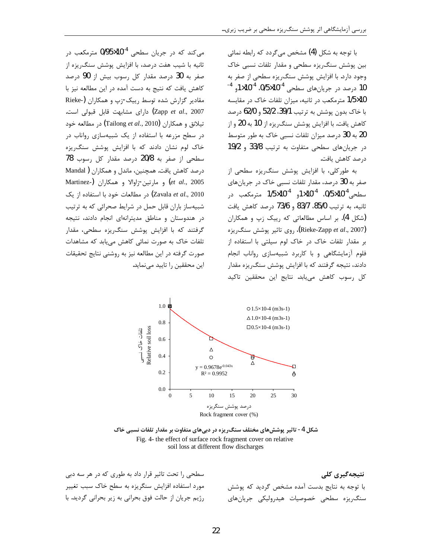با توجه به شکل (4) مشخص م*ی گ*ردد که ,ابطه نمائ*ی* بین پوشش سنگ ریزه سطحی و مقدار تلفات نسبی خاک وجود دارد. با افزایش پوشش سنگ ریزه سطحی از صفر به 10 درصد در جریانهای سطحی 10<sup>-1</sup>0×0/5. 1<sup>4-1</sup>0 1<sup>4-1</sup> 1/5×1/5 مترمكعب در ثانيه، ميزان تلفات خاك در مقايسه با خاک بدون پوشش به ترتیب 39/1، 52/2 و 62/0 درصد کاهش یافت. با افزایش پوشش سنگ ریزه از 10 به 20 و از 20 به 30 درصد میزان تلفات نسبی خاک به طور متوسط در جریانهای سطحی متفاوت به ترتیب 33/8 و 19/2 درصد كاهش يافت.

به طورکلی، با افزایش یوشش سنگ ریزه سطحی از صفر به 30 درصد، مقدار تلفات نسبی خاک در جریانهای سطحی<sup>4-0</sup>0/5×0/5. 11×10م 11<sup>0×10×</sup>10 مترمکعب در ثانيه، به ترتيب 85/0، 83/7 و 73/6 درصد كاهش يافت (شکل 4). بر اساس مطالعاتی که رییک زپ و همکاران (Rieke-Zapp et al., 2007)، روى تاثير پوشش سنگ ريزه بر مقدار تلفات خاک در خاک لوم سیلتی با استفاده از فلوم آزمایشگاهی و با کاربرد شبیهسازی رواناب انجام دادند، نتیجه گرفتند که با افزایش پوشش سنگ ریزه مقدار کل رسوب کاهش میبابد. نتایج این محققین تاکید

می کند که در جریان سطحی 10<sup>-4</sup>×0/95 مترمکعب در ثانیه با شیب هفت درصد، با افزایش پوشش سنگ ریزه از صفر به 30 درصد مقدار کل رسوب بیش از 90 درصد كاهش يافت كه نتيج به دست آمده در اين مطالعه نيز با مقادیر گزارش شده توسط رییک-زپ و همکاران (-Rieke Zapp et al., 2007) دارای مشابهت قابل قبولی است. تيلانق و همكاران (Tailong et al., 2010) در مطالعه خود در سطح مزرعه با استفاده از یک شبیهسازی رواناب در خاک لوم نشان دادند که با افزایش پوشش سنگ ریزه سطحی از صفر به 20/8 درصد مقدار کل رسوب 78 درصد كاهش يافت. همچنين، ماندل و همكاران (Mandal et al., 2005) و مارتين-زاوالا و همكاران (Martinez-Zavala et al., 2010) در مطالعات خود با استفاده از یک شبیهساز باران قابل حمل در شرایط صحرائی که به ترتیب در هندوستان و مناطق مدیترانهای انجام دادند، نتیجه گرفتند که با افزایش پوشش سنگ ریزه سطحی، مقدار تلفات خاک به صورت نمائی کاهش می یابد که مشاهدات صورت گرفته در این مطالعه نیز به روشنی نتایج تحقیقات این محققین را تایید مینماید.



شکل 4- تاثیر پوششهای مختلف سنگ ریزه در دبیهای متفاوت بر مقدار تلفات نسبی خاک Fig. 4- the effect of surface rock fragment cover on relative soil loss at different flow discharges

سطحی را تحت تاثیر قرار داد به طوری که در هر سه دبی مورد استفاده افزایش سنگریزه به سطح خاک سبب تغییر رژیم جریان از حالت فوق بحرانی به زیر بحرانی گردید. با

نتیجەگیری کلی با توجه به نتايج بدست آمده مشخص گرديد كه پوشش سنگ ریزه سطحی خصوصیات هیدرولیکی جریانهای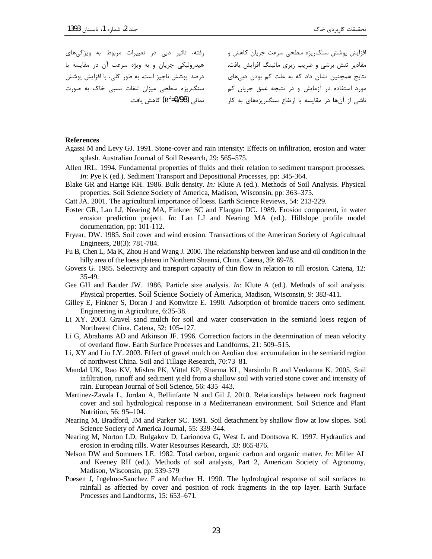رفته، تاثیر دبی در تغییرات مربوط به ویژگیهای هيدروليکي جريان و به ويژه سرعت آن در مقايسه با نتایج همچنین نشان داد که به علت کم بودن دبیهای درصد پوشش ناچیز است. به طور کلی، با افزایش پوشش سنگ ریزه سطحی میزان تلفات نسبی خاک به صورت

افزایش پوشش سنگ ریزه سطحی سرعت جریان کاهش و .<br>مقادیر تنش برشی و ضریب زبری مانینگ افزایش یافت. مورد استفاده در آزمایش و در نتیجه عمق جریان کم ناشی از آنها در مقایسه با ارتفاع سنگ یزههای به کار میستهانی (R<sup>2</sup>=0/98) کاهش یافت.

#### **References**

- Agassi M and Levy GJ. 1991. Stone-cover and rain intensity: Effects on infiltration, erosion and water splash. Australian Journal of Soil Research, 29: 565–575.
- Allen JRL. 1994. Fundamental properties of fluids and their relation to sediment transport processes. *In*: Pye K (ed.). Sediment Transport and Depositional Processes, pp: 345-364.
- Blake GR and Hartge KH. 1986. Bulk density. In: Klute A (ed.). Methods of Soil Analysis. Physical properties. Soil Science Society of America, Madison, Wisconsin, pp: 363–375.
- Catt JA. 2001. The agricultural importance of loess. Earth Science Reviews, 54: 213-229.
- Foster GR, Lan LJ, Nearing MA, Finkner SC and Flangan DC. 1989. Erosion component, in water erosion prediction project. In: Lan LJ and Nearing MA (ed.). Hillslope profile model documentation, pp: 101-112.
- Fryear, DW, 1985. Soil cover and wind erosion. Transactions of the American Society of Agricultural Engineers, 28(3): 781-784.
- Fu B, Chen L, Ma K, Zhou H and Wang J. 2000. The relationship between land use and oil condition in the hilly area of the loess plateau in Northern Shaanxi, China. Catena, 39: 69-78.
- Govers G. 1985. Selectivity and transport capacity of thin flow in relation to rill erosion. Catena, 12: 35-49.
- Gee GH and Bauder JW. 1986. Particle size analysis. In: Klute A (ed.). Methods of soil analysis. Physical properties. Soil Science Society of America, Madison, Wisconsin, 9: 383-411.
- Gilley E, Finkner S, Doran J and Kottwitze E. 1990. Adsorption of bromide tracers onto sediment. Engineering in Agriculture, 6:35-38.
- Li XY. 2003. Gravel-sand mulch for soil and water conservation in the semiarid loess region of Northwest China. Catena. 52: 105-127.
- Li G, Abrahams AD and Atkinson JF. 1996. Correction factors in the determination of mean velocity of overland flow. Earth Surface Processes and Landforms, 21: 509–515.
- Li, XY and Liu LY. 2003. Effect of gravel mulch on Aeolian dust accumulation in the semiarid region of northwest China. Soil and Tillage Research, 70:73-81.
- Mandal UK, Rao KV, Mishra PK, Vittal KP, Sharma KL, Narsimlu B and Venkanna K. 2005. Soil infiltration, runoff and sediment yield from a shallow soil with varied stone cover and intensity of rain. European Journal of Soil Science, 56: 435–443.
- Martinez-Zavala L, Jordan A, Bellinfante N and Gil J. 2010. Relationships between rock fragment cover and soil hydrological response in a Mediterranean environment. Soil Science and Plant Nutrition, 56: 95-104.
- Nearing M, Bradford, JM and Parker SC. 1991. Soil detachment by shallow flow at low slopes. Soil Science Society of America Journal, 55: 339-344.
- Nearing M, Norton LD, Bulgakov D, Larionova G, West L and Dontsova K. 1997. Hydraulics and erosion in eroding rills. Water Resourses Research, 33: 865-876.
- Nelson DW and Sommers LE. 1982. Total carbon, organic carbon and organic matter. In: Miller AL and Keeney RH (ed.). Methods of soil analysis, Part 2, American Society of Agronomy, Madison, Wisconsin, pp: 539-579
- Poesen J, Ingelmo-Sanchez F and Mucher H. 1990. The hydrological response of soil surfaces to rainfall as affected by cover and position of rock fragments in the top layer. Earth Surface Processes and Landforms, 15: 653–671.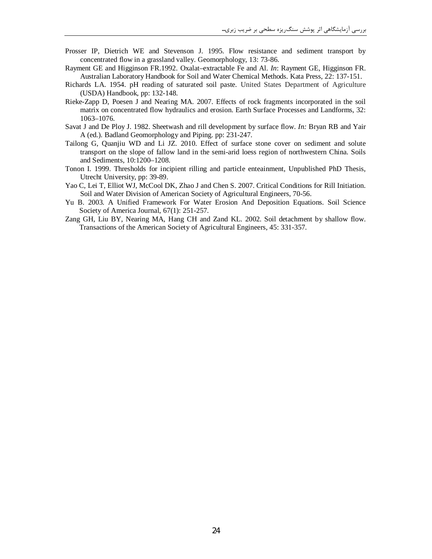- Prosser IP, Dietrich WE and Stevenson J. 1995. Flow resistance and sediment transport by concentrated flow in a grassland valley. Geomorphology, 13: 73-86.
- Rayment GE and Higginson FR.1992. Oxalat–extractable Fe and Al. *In*: Rayment GE, Higginson FR. Australian Laboratory Handbook for Soil and Water Chemical Methods. Kata Press, 22: 137-151.
- Richards LA. 1954. pH reading of saturated soil paste. United States Department of Agriculture (USDA) Handbook, pp: 132-148.
- Rieke-Zapp D, Poesen J and Nearing MA. 2007. Effects of rock fragments incorporated in the soil matrix on concentrated flow hydraulics and erosion. Earth Surface Processes and Landforms, 32: 1063–1076.
- Savat J and De Ploy J. 1982. Sheetwash and rill development by surface flow. *In:* Bryan RB and Yair A (ed.). Badland Geomorphology and Piping. pp: 231-247.
- Tailong G, Quanjiu WD and Li JZ. 2010. Effect of surface stone cover on sediment and solute transport on the slope of fallow land in the semi-arid loess region of northwestern China. Soils and Sediments, 10:1200–1208.
- Tonon I. 1999. Thresholds for incipient rilling and particle enteainment, Unpublished PhD Thesis, Utrecht University, pp: 39-89.
- Yao C, Lei T, Elliot WJ, McCool DK, Zhao J and Chen S. 2007. Critical Conditions for Rill Initiation. Soil and Water Division of American Society of Agricultural Engineers, 70-56.
- Yu B. 2003. A Unified Framework For Water Erosion And Deposition Equations. Soil Science Society of America Journal, 67(1): 251-257.
- Zang GH, Liu BY, Nearing MA, Hang CH and Zand KL. 2002. Soil detachment by shallow flow. Transactions of the American Society of Agricultural Engineers, 45: 331-357.